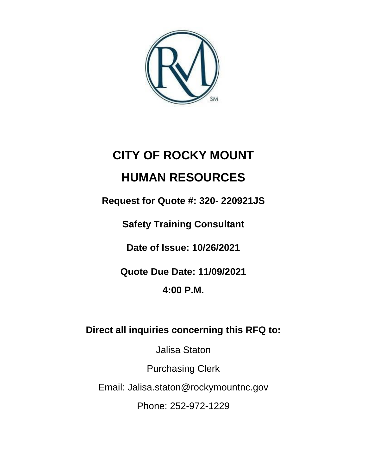

# **CITY OF ROCKY MOUNT HUMAN RESOURCES**

**Request for Quote #: 320- 220921JS**

**Safety Training Consultant**

**Date of Issue: 10/26/2021**

**Quote Due Date: 11/09/2021**

**4:00 P.M.**

**Direct all inquiries concerning this RFQ to:** 

Jalisa Staton

Purchasing Clerk

Email: Jalisa.staton@rockymountnc.gov

Phone: 252-972-1229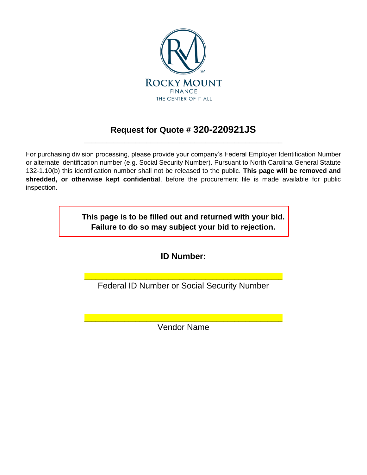

## **Request for Quote # 320-220921JS** \_\_\_\_\_\_\_\_\_\_\_\_\_\_\_\_\_\_\_\_\_\_\_\_\_\_\_\_\_\_\_\_\_\_\_\_\_\_\_\_\_\_\_\_\_\_\_\_\_\_\_\_\_\_

For purchasing division processing, please provide your company's Federal Employer Identification Number or alternate identification number (e.g. Social Security Number). Pursuant to North Carolina General Statute 132-1.10(b) this identification number shall not be released to the public. **This page will be removed and shredded, or otherwise kept confidential**, before the procurement file is made available for public inspection.

> **This page is to be filled out and returned with your bid. Failure to do so may subject your bid to rejection.**

> > **ID Number:**

\_\_\_\_\_\_\_\_\_\_\_\_\_\_\_\_\_\_\_\_\_\_\_\_\_\_\_\_\_\_\_\_\_\_\_\_\_\_\_\_\_\_\_\_\_\_\_\_\_\_\_\_\_\_ Federal ID Number or Social Security Number

\_\_\_\_\_\_\_\_\_\_\_\_\_\_\_\_\_\_\_\_\_\_\_\_\_\_\_\_\_\_\_\_\_\_\_\_\_\_\_\_\_\_\_\_\_\_\_\_\_\_\_\_\_\_ Vendor Name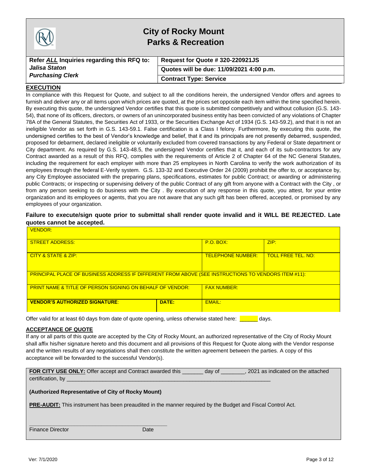|                                            | <b>City of Rocky Mount</b><br><b>Parks &amp; Recreation</b> |  |
|--------------------------------------------|-------------------------------------------------------------|--|
| Refer ALL Inquiries regarding this RFQ to: | Request for Quote # 320-220921JS                            |  |
| Jalisa Staton                              | Quotes will be due: 11/09/2021 4:00 p.m.                    |  |
| <b>Purchasing Clerk</b>                    | <b>Contract Type: Service</b>                               |  |

#### **EXECUTION**

In compliance with this Request for Quote, and subject to all the conditions herein, the undersigned Vendor offers and agrees to furnish and deliver any or all items upon which prices are quoted, at the prices set opposite each item within the time specified herein. By executing this quote, the undersigned Vendor certifies that this quote is submitted competitively and without collusion (G.S. 143- 54), that none of its officers, directors, or owners of an unincorporated business entity has been convicted of any violations of Chapter 78A of the General Statutes, the Securities Act of 1933, or the Securities Exchange Act of 1934 (G.S. 143-59.2), and that it is not an ineligible Vendor as set forth in G.S. 143-59.1. False certification is a Class I felony. Furthermore, by executing this quote, the undersigned certifies to the best of Vendor's knowledge and belief, that it and its principals are not presently debarred, suspended, proposed for debarment, declared ineligible or voluntarily excluded from covered transactions by any Federal or State department or City department. As required by G.S. 143-48.5, the undersigned Vendor certifies that it, and each of its sub-contractors for any Contract awarded as a result of this RFQ, complies with the requirements of Article 2 of Chapter 64 of the NC General Statutes, including the requirement for each employer with more than 25 employees in North Carolina to verify the work authorization of its employees through the federal E-Verify system. G.S. 133-32 and Executive Order 24 (2009) prohibit the offer to, or acceptance by, any City Employee associated with the preparing plans, specifications, estimates for public Contract; or awarding or administering public Contracts; or inspecting or supervising delivery of the public Contract of any gift from anyone with a Contract with the City , or from any person seeking to do business with the City . By execution of any response in this quote, you attest, for your entire organization and its employees or agents, that you are not aware that any such gift has been offered, accepted, or promised by any employees of your organization.

#### **Failure to execute/sign quote prior to submittal shall render quote invalid and it WILL BE REJECTED. Late quotes cannot be accepted.**

| VENDOR:                                                                                                    |                                                       |                    |  |  |  |  |
|------------------------------------------------------------------------------------------------------------|-------------------------------------------------------|--------------------|--|--|--|--|
| <b>STREET ADDRESS:</b>                                                                                     | ZIP:<br>$P.O.$ BOX:                                   |                    |  |  |  |  |
| CITY & STATE & ZIP:                                                                                        | <b>TELEPHONE NUMBER:</b><br><b>TOLL FREE TEL. NO:</b> |                    |  |  |  |  |
| <b>PRINCIPAL PLACE OF BUSINESS ADDRESS IF DIFFERENT FROM ABOVE (SEE INSTRUCTIONS TO VENDORS ITEM #11):</b> |                                                       |                    |  |  |  |  |
| <b>PRINT NAME &amp; TITLE OF PERSON SIGNING ON BEHALF OF VENDOR:</b>                                       |                                                       | <b>FAX NUMBER:</b> |  |  |  |  |
| DATE:<br><b>VENDOR'S AUTHORIZED SIGNATURE:</b>                                                             |                                                       | FMAII:             |  |  |  |  |

Offer valid for at least 60 days from date of quote opening, unless otherwise stated here: **with all** days.

#### **ACCEPTANCE OF QUOTE**

If any or all parts of this quote are accepted by the City of Rocky Mount, an authorized representative of the City of Rocky Mount shall affix his/her signature hereto and this document and all provisions of this Request for Quote along with the Vendor response and the written results of any negotiations shall then constitute the written agreement between the parties. A copy of this acceptance will be forwarded to the successful Vendor(s).

| <b>FOR CITY USE ONLY:</b> Offer accept and Contract awarded this<br>2021 as indicated on the attached<br>day of    |
|--------------------------------------------------------------------------------------------------------------------|
| certification, by                                                                                                  |
|                                                                                                                    |
| (Authorized Representative of City of Rocky Mount)                                                                 |
|                                                                                                                    |
| <b>PRE-AUDIT:</b> This instrument has been preaudited in the manner required by the Budget and Fiscal Control Act. |
|                                                                                                                    |
|                                                                                                                    |
|                                                                                                                    |
| <b>Finance Director</b><br>Date                                                                                    |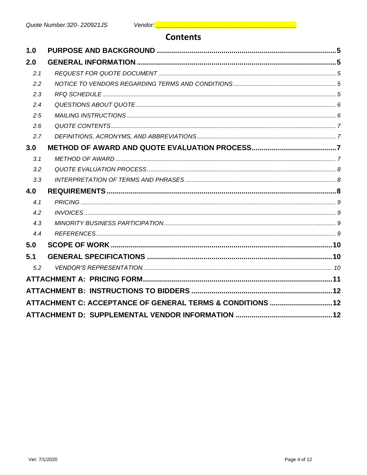## **Contents**

| 2.0<br>2.1<br>2.2<br>2.3<br>2.4<br>2.5<br>2.6<br>2.7<br>3.0<br>3.1<br>3.2<br>3.3<br>4.0<br>4.1<br>4.2 |  |
|-------------------------------------------------------------------------------------------------------|--|
|                                                                                                       |  |
|                                                                                                       |  |
|                                                                                                       |  |
|                                                                                                       |  |
|                                                                                                       |  |
|                                                                                                       |  |
|                                                                                                       |  |
|                                                                                                       |  |
|                                                                                                       |  |
|                                                                                                       |  |
|                                                                                                       |  |
|                                                                                                       |  |
|                                                                                                       |  |
|                                                                                                       |  |
|                                                                                                       |  |
| 4.3                                                                                                   |  |
| 4.4                                                                                                   |  |
| 5.0                                                                                                   |  |
| 5.1                                                                                                   |  |
| 5.2                                                                                                   |  |
|                                                                                                       |  |
|                                                                                                       |  |
| ATTACHMENT C: ACCEPTANCE OF GENERAL TERMS & CONDITIONS  12                                            |  |
|                                                                                                       |  |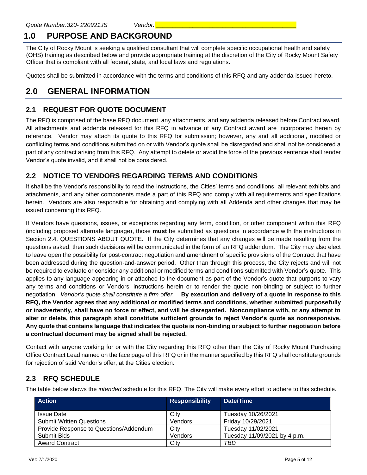# <span id="page-4-0"></span>**1.0 PURPOSE AND BACKGROUND**

The City of Rocky Mount is seeking a qualified consultant that will complete specific occupational health and safety (OHS) training as described below and provide appropriate training at the discretion of the City of Rocky Mount Safety Officer that is compliant with all federal, state, and local laws and regulations.

Quotes shall be submitted in accordance with the terms and conditions of this RFQ and any addenda issued hereto.

## <span id="page-4-1"></span>**2.0 GENERAL INFORMATION**

#### <span id="page-4-2"></span>**2.1 REQUEST FOR QUOTE DOCUMENT**

The RFQ is comprised of the base RFQ document, any attachments, and any addenda released before Contract award. All attachments and addenda released for this RFQ in advance of any Contract award are incorporated herein by reference. Vendor may attach its quote to this RFQ for submission; however, any and all additional, modified or conflicting terms and conditions submitted on or with Vendor's quote shall be disregarded and shall not be considered a part of any contract arising from this RFQ. Any attempt to delete or avoid the force of the previous sentence shall render Vendor's quote invalid, and it shall not be considered.

### <span id="page-4-3"></span>**2.2 NOTICE TO VENDORS REGARDING TERMS AND CONDITIONS**

It shall be the Vendor's responsibility to read the Instructions, the Cities' terms and conditions, all relevant exhibits and attachments, and any other components made a part of this RFQ and comply with all requirements and specifications herein. Vendors are also responsible for obtaining and complying with all Addenda and other changes that may be issued concerning this RFQ.

If Vendors have questions, issues, or exceptions regarding any term, condition, or other component within this RFQ (including proposed alternate language), those **must** be submitted as questions in accordance with the instructions in Section 2.4. QUESTIONS ABOUT QUOTE. If the City determines that any changes will be made resulting from the questions asked, then such decisions will be communicated in the form of an RFQ addendum. The City may also elect to leave open the possibility for post-contract negotiation and amendment of specific provisions of the Contract that have been addressed during the question-and-answer period. Other than through this process, the City rejects and will not be required to evaluate or consider any additional or modified terms and conditions submitted with Vendor's quote. This applies to any language appearing in or attached to the document as part of the Vendor's quote that purports to vary any terms and conditions or Vendors' instructions herein or to render the quote non-binding or subject to further negotiation. *Vendor's quote shall constitute a firm offer.* **By execution and delivery of a quote in response to this RFQ, the Vendor agrees that any additional or modified terms and conditions, whether submitted purposefully or inadvertently, shall have no force or effect, and will be disregarded. Noncompliance with, or any attempt to alter or delete, this paragraph shall constitute sufficient grounds to reject Vendor's quote as nonresponsive. Any quote that contains language that indicates the quote is non-binding or subject to further negotiation before a contractual document may be signed shall be rejected.**

Contact with anyone working for or with the City regarding this RFQ other than the City of Rocky Mount Purchasing Office Contract Lead named on the face page of this RFQ or in the manner specified by this RFQ shall constitute grounds for rejection of said Vendor's offer, at the Cities election.

#### <span id="page-4-4"></span>**2.3 RFQ SCHEDULE**

The table below shows the *intended* schedule for this RFQ. The City will make every effort to adhere to this schedule.

| <b>Action</b>                          | <b>Responsibility</b> | Date/Time                    |
|----------------------------------------|-----------------------|------------------------------|
| <b>Issue Date</b>                      | City                  | Tuesday 10/26/2021           |
| <b>Submit Written Questions</b>        | Vendors               | Friday 10/29/2021            |
| Provide Response to Questions/Addendum | City                  | Tuesday 11/02/2021           |
| Submit Bids                            | Vendors               | Tuesday 11/09/2021 by 4 p.m. |
| <b>Award Contract</b>                  | City                  | TBD                          |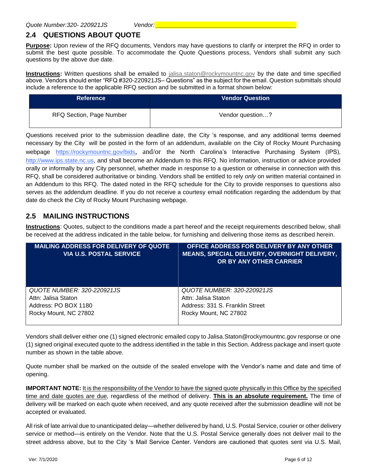### <span id="page-5-0"></span>**2.4 QUESTIONS ABOUT QUOTE**

**Purpose:** Upon review of the RFQ documents, Vendors may have questions to clarify or interpret the RFQ in order to submit the best quote possible. To accommodate the Quote Questions process, Vendors shall submit any such questions by the above due date.

**Instructions:** Written questions shall be emailed to [jalisa.staton@rockymountnc.gov](mailto:jalisa.staton@rockymountnc.gov) by the date and time specified above. Vendors should enter "RFQ #320-220921JS– Questions" as the subject for the email. Question submittals should include a reference to the applicable RFQ section and be submitted in a format shown below:

| <b>Reference</b>         | Vendor Question  |
|--------------------------|------------------|
| RFQ Section, Page Number | Vendor question? |

Questions received prior to the submission deadline date, the City 's response, and any additional terms deemed necessary by the City will be posted in the form of an addendum, available on the City of Rocky Mount Purchasing webpage https://rockymountnc.gov/bids, and/or the North Carolina's Interactive Purchasing System (IPS), [http://www.ips.state.nc.us,](http://www.ips.state.nc.us/) and shall become an Addendum to this RFQ. No information, instruction or advice provided orally or informally by any City personnel, whether made in response to a question or otherwise in connection with this RFQ, shall be considered authoritative or binding. Vendors shall be entitled to rely *only* on written material contained in an Addendum to this RFQ. The dated noted in the RFQ schedule for the City to provide responses to questions also serves as the addendum deadline. If you do not receive a courtesy email notification regarding the addendum by that date do check the City of Rocky Mount Purchasing webpage.

#### <span id="page-5-1"></span>**2.5 MAILING INSTRUCTIONS**

**Instructions**: Quotes, subject to the conditions made a part hereof and the receipt requirements described below, shall be received at the address indicated in the table below, for furnishing and delivering those items as described herein.

| <b>MAILING ADDRESS FOR DELIVERY OF QUOTE</b><br><b>VIA U.S. POSTAL SERVICE</b> | OFFICE ADDRESS FOR DELIVERY BY ANY OTHER<br><b>MEANS, SPECIAL DELIVERY, OVERNIGHT DELIVERY,</b><br>OR BY ANY OTHER CARRIER |
|--------------------------------------------------------------------------------|----------------------------------------------------------------------------------------------------------------------------|
| QUOTE NUMBER: 320-220921JS                                                     | QUOTE NUMBER: 320-220921JS                                                                                                 |
| Attn: Jalisa Staton                                                            | Attn: Jalisa Staton                                                                                                        |
| Address: PO BOX 1180                                                           | Address: 331 S. Franklin Street                                                                                            |
| Rocky Mount, NC 27802                                                          | Rocky Mount, NC 27802                                                                                                      |

Vendors shall deliver either one (1) signed electronic emailed copy to Jalisa.Staton@rockymountnc.gov response or one (1) signed original executed quote to the address identified in the table in this Section. Address package and insert quote number as shown in the table above.

Quote number shall be marked on the outside of the sealed envelope with the Vendor's name and date and time of opening.

**IMPORTANT NOTE:** It is the responsibility of the Vendor to have the signed quote physically in this Office by the specified time and date quotes are due, regardless of the method of delivery. **This is an absolute requirement.** The time of delivery will be marked on each quote when received, and any quote received after the submission deadline will not be accepted or evaluated.

All risk of late arrival due to unanticipated delay—whether delivered by hand, U.S. Postal Service, courier or other delivery service or method—is entirely on the Vendor. Note that the U.S. Postal Service generally does not deliver mail to the street address above, but to the City 's Mail Service Center. Vendors are cautioned that quotes sent via U.S. Mail,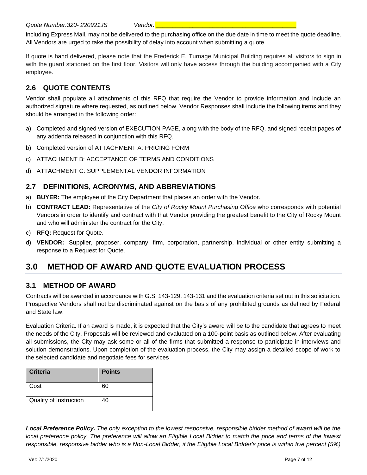including Express Mail, may not be delivered to the purchasing office on the due date in time to meet the quote deadline. All Vendors are urged to take the possibility of delay into account when submitting a quote.

If quote is hand delivered, please note that the Frederick E. Turnage Municipal Building requires all visitors to sign in with the guard stationed on the first floor. Visitors will only have access through the building accompanied with a City employee.

## <span id="page-6-0"></span>**2.6 QUOTE CONTENTS**

Vendor shall populate all attachments of this RFQ that require the Vendor to provide information and include an authorized signature where requested, as outlined below. Vendor Responses shall include the following items and they should be arranged in the following order:

- a) Completed and signed version of EXECUTION PAGE, along with the body of the RFQ, and signed receipt pages of any addenda released in conjunction with this RFQ.
- b) Completed version of ATTACHMENT A: PRICING FORM
- c) ATTACHMENT B: ACCEPTANCE OF TERMS AND CONDITIONS
- d) ATTACHMENT C: SUPPLEMENTAL VENDOR INFORMATION

#### <span id="page-6-1"></span>**2.7 DEFINITIONS, ACRONYMS, AND ABBREVIATIONS**

- a) **BUYER:** The employee of the City Department that places an order with the Vendor.
- b) **CONTRACT LEAD:** Representative of the *City of Rocky Mount Purchasing Office* who corresponds with potential Vendors in order to identify and contract with that Vendor providing the greatest benefit to the City of Rocky Mount and who will administer the contract for the City.
- c) **RFQ:** Request for Quote.
- d) **VENDOR:** Supplier, proposer, company, firm, corporation, partnership, individual or other entity submitting a response to a Request for Quote.

# <span id="page-6-2"></span>**3.0 METHOD OF AWARD AND QUOTE EVALUATION PROCESS**

#### <span id="page-6-3"></span>**3.1 METHOD OF AWARD**

Contracts will be awarded in accordance with G.S. 143-129, 143-131 and the evaluation criteria set out in this solicitation. Prospective Vendors shall not be discriminated against on the basis of any prohibited grounds as defined by Federal and State law.

Evaluation Criteria. If an award is made, it is expected that the City's award will be to the candidate that agrees to meet the needs of the City. Proposals will be reviewed and evaluated on a 100-point basis as outlined below. After evaluating all submissions, the City may ask some or all of the firms that submitted a response to participate in interviews and solution demonstrations. Upon completion of the evaluation process, the City may assign a detailed scope of work to the selected candidate and negotiate fees for services

| <b>Criteria</b>        | <b>Points</b> |
|------------------------|---------------|
| Cost                   | 60            |
| Quality of Instruction | 40            |

*Local Preference Policy. The only exception to the lowest responsive, responsible bidder method of award will be the local preference policy. The preference will allow an Eligible Local Bidder to match the price and terms of the lowest responsible, responsive bidder who is a Non-Local Bidder, if the Eligible Local Bidder's price is within five percent (5%)*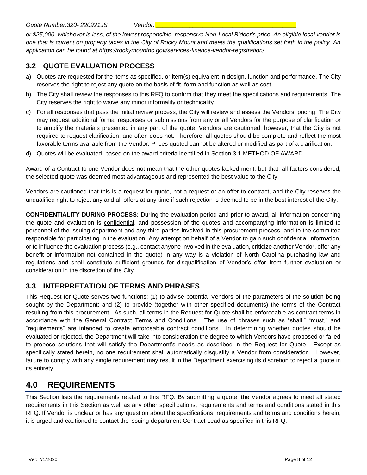*Quote Number:320- 220921JS Vendor: \_\_\_\_\_\_\_\_\_\_\_\_\_\_\_\_\_\_\_\_\_\_\_\_\_\_\_\_\_\_\_\_\_\_\_\_\_\_\_\_\_\_*

*or \$25,000, whichever is less, of the lowest responsible, responsive Non-Local Bidder's price .An eligible local vendor is one that is current on property taxes in the City of Rocky Mount and meets the qualifications set forth in the policy. An application can be found at https://rockymountnc.gov/services-finance-vendor-registration/*

#### <span id="page-7-0"></span>**3.2 QUOTE EVALUATION PROCESS**

- a) Quotes are requested for the items as specified, or item(s) equivalent in design, function and performance. The City reserves the right to reject any quote on the basis of fit, form and function as well as cost.
- b) The City shall review the responses to this RFQ to confirm that they meet the specifications and requirements. The City reserves the right to waive any minor informality or technicality.
- c) For all responses that pass the initial review process, the City will review and assess the Vendors' pricing. The City may request additional formal responses or submissions from any or all Vendors for the purpose of clarification or to amplify the materials presented in any part of the quote. Vendors are cautioned, however, that the City is not required to request clarification, and often does not. Therefore, all quotes should be complete and reflect the most favorable terms available from the Vendor. Prices quoted cannot be altered or modified as part of a clarification.
- d) Quotes will be evaluated, based on the award criteria identified in Section 3.1 METHOD OF AWARD.

Award of a Contract to one Vendor does not mean that the other quotes lacked merit, but that, all factors considered, the selected quote was deemed most advantageous and represented the best value to the City.

Vendors are cautioned that this is a request for quote, not a request or an offer to contract, and the City reserves the unqualified right to reject any and all offers at any time if such rejection is deemed to be in the best interest of the City.

**CONFIDENTIALITY DURING PROCESS:** During the evaluation period and prior to award, all information concerning the quote and evaluation is confidential, and possession of the quotes and accompanying information is limited to personnel of the issuing department and any third parties involved in this procurement process, and to the committee responsible for participating in the evaluation. Any attempt on behalf of a Vendor to gain such confidential information, or to influence the evaluation process (e.g., contact anyone involved in the evaluation, criticize another Vendor, offer any benefit or information not contained in the quote) in any way is a violation of North Carolina purchasing law and regulations and shall constitute sufficient grounds for disqualification of Vendor's offer from further evaluation or consideration in the discretion of the City.

#### <span id="page-7-1"></span>**3.3 INTERPRETATION OF TERMS AND PHRASES**

This Request for Quote serves two functions: (1) to advise potential Vendors of the parameters of the solution being sought by the Department; and (2) to provide (together with other specified documents) the terms of the Contract resulting from this procurement. As such, all terms in the Request for Quote shall be enforceable as contract terms in accordance with the General Contract Terms and Conditions. The use of phrases such as "shall," "must," and "requirements" are intended to create enforceable contract conditions. In determining whether quotes should be evaluated or rejected, the Department will take into consideration the degree to which Vendors have proposed or failed to propose solutions that will satisfy the Department's needs as described in the Request for Quote. Except as specifically stated herein, no one requirement shall automatically disqualify a Vendor from consideration. However, failure to comply with any single requirement may result in the Department exercising its discretion to reject a quote in its entirety.

## <span id="page-7-2"></span>**4.0 REQUIREMENTS**

This Section lists the requirements related to this RFQ. By submitting a quote, the Vendor agrees to meet all stated requirements in this Section as well as any other specifications, requirements and terms and conditions stated in this RFQ. If Vendor is unclear or has any question about the specifications, requirements and terms and conditions herein, it is urged and cautioned to contact the issuing department Contract Lead as specified in this RFQ.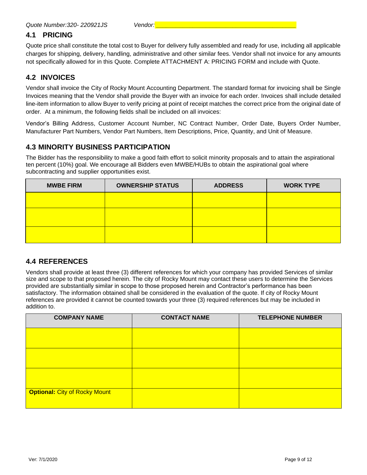#### <span id="page-8-0"></span>**4.1 PRICING**

Quote price shall constitute the total cost to Buyer for delivery fully assembled and ready for use, including all applicable charges for shipping, delivery, handling, administrative and other similar fees. Vendor shall not invoice for any amounts not specifically allowed for in this Quote. Complete ATTACHMENT A: PRICING FORM and include with Quote.

#### <span id="page-8-1"></span>**4.2 INVOICES**

Vendor shall invoice the City of Rocky Mount Accounting Department. The standard format for invoicing shall be Single Invoices meaning that the Vendor shall provide the Buyer with an invoice for each order. Invoices shall include detailed line-item information to allow Buyer to verify pricing at point of receipt matches the correct price from the original date of order. At a minimum, the following fields shall be included on all invoices:

Vendor's Billing Address, Customer Account Number, NC Contract Number, Order Date, Buyers Order Number, Manufacturer Part Numbers, Vendor Part Numbers, Item Descriptions, Price, Quantity, and Unit of Measure.

#### <span id="page-8-2"></span>**4.3 MINORITY BUSINESS PARTICIPATION**

The Bidder has the responsibility to make a good faith effort to solicit minority proposals and to attain the aspirational ten percent (10%) goal. We encourage all Bidders even MWBE/HUBs to obtain the aspirational goal where subcontracting and supplier opportunities exist.

| <b>MWBE FIRM</b> | <b>OWNERSHIP STATUS</b> | <b>ADDRESS</b> | <b>WORK TYPE</b> |
|------------------|-------------------------|----------------|------------------|
|                  |                         |                |                  |
|                  |                         |                |                  |
|                  |                         |                |                  |
|                  |                         |                |                  |

#### <span id="page-8-3"></span>**4.4 REFERENCES**

Vendors shall provide at least three (3) different references for which your company has provided Services of similar size and scope to that proposed herein. The city of Rocky Mount may contact these users to determine the Services provided are substantially similar in scope to those proposed herein and Contractor's performance has been satisfactory. The information obtained shall be considered in the evaluation of the quote. If city of Rocky Mount references are provided it cannot be counted towards your three (3) required references but may be included in addition to.

| <b>COMPANY NAME</b>                  | <b>CONTACT NAME</b> | <b>TELEPHONE NUMBER</b> |
|--------------------------------------|---------------------|-------------------------|
|                                      |                     |                         |
|                                      |                     |                         |
|                                      |                     |                         |
| <b>Optional: City of Rocky Mount</b> |                     |                         |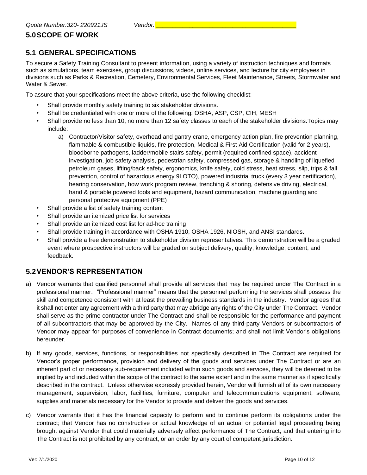## <span id="page-9-0"></span>**5.0SCOPE OF WORK**

#### <span id="page-9-1"></span>**5.1 GENERAL SPECIFICATIONS**

To secure a Safety Training Consultant to present information, using a variety of instruction techniques and formats such as simulations, team exercises, group discussions, videos, online services, and lecture for city employees in divisions such as Parks & Recreation, Cemetery, Environmental Services, Fleet Maintenance, Streets, Stormwater and Water & Sewer.

To assure that your specifications meet the above criteria, use the following checklist:

- Shall provide monthly safety training to six stakeholder divisions.
- Shall be credentialed with one or more of the following: OSHA, ASP, CSP, CIH, MESH
- Shall provide no less than 10, no more than 12 safety classes to each of the stakeholder divisions.Topics may include:
	- a) Contractor/Visitor safety, overhead and gantry crane, emergency action plan, fire prevention planning, flammable & combustible liquids, fire protection, Medical & First Aid Certification (valid for 2 years), bloodborne pathogens, ladder/mobile stairs safety, permit (required confined space), accident investigation, job safety analysis, pedestrian safety, compressed gas, storage & handling of liquefied petroleum gases, lifting/back safety, ergonomics, knife safety, cold stress, heat stress, slip, trips & fall prevention, control of hazardous energy 9LOTO), powered industrial truck (every 3 year certification), hearing conservation, how work program review, trenching & shoring, defensive driving, electrical, hand & portable powered tools and equipment, hazard communication, machine guarding and personal protective equipment (PPE)
- Shall provide a list of safety training content
- Shall provide an itemized price list for services
- Shall provide an itemized cost list for ad-hoc training
- Shall provide training in accordance with OSHA 1910, OSHA 1926, NIOSH, and ANSI standards.
- Shall provide a free demonstration to stakeholder division representatives. This demonstration will be a graded event where prospective instructors will be graded on subject delivery, quality, knowledge, content, and feedback.

#### <span id="page-9-2"></span>**5.2VENDOR'S REPRESENTATION**

- a) Vendor warrants that qualified personnel shall provide all services that may be required under The Contract in a professional manner. "Professional manner" means that the personnel performing the services shall possess the skill and competence consistent with at least the prevailing business standards in the industry. Vendor agrees that it shall not enter any agreement with a third party that may abridge any rights of the City under The Contract. Vendor shall serve as the prime contractor under The Contract and shall be responsible for the performance and payment of all subcontractors that may be approved by the City. Names of any third-party Vendors or subcontractors of Vendor may appear for purposes of convenience in Contract documents; and shall not limit Vendor's obligations hereunder.
- b) If any goods, services, functions, or responsibilities not specifically described in The Contract are required for Vendor's proper performance, provision and delivery of the goods and services under The Contract or are an inherent part of or necessary sub-requirement included within such goods and services, they will be deemed to be implied by and included within the scope of the contract to the same extent and in the same manner as if specifically described in the contract. Unless otherwise expressly provided herein, Vendor will furnish all of its own necessary management, supervision, labor, facilities, furniture, computer and telecommunications equipment, software, supplies and materials necessary for the Vendor to provide and deliver the goods and services.
- c) Vendor warrants that it has the financial capacity to perform and to continue perform its obligations under the contract; that Vendor has no constructive or actual knowledge of an actual or potential legal proceeding being brought against Vendor that could materially adversely affect performance of The Contract; and that entering into The Contract is not prohibited by any contract, or an order by any court of competent jurisdiction.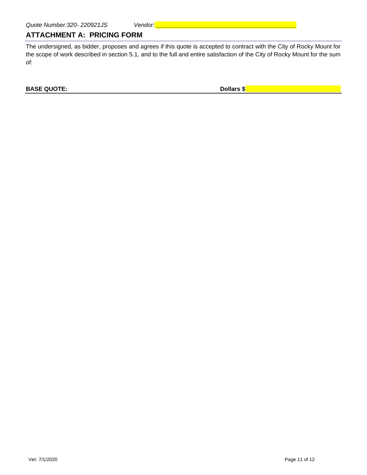#### <span id="page-10-0"></span>**ATTACHMENT A: PRICING FORM**

The undersigned, as bidder, proposes and agrees if this quote is accepted to contract with the City of Rocky Mount for the scope of work described in section 5.1, and to the full and entire satisfaction of the City of Rocky Mount for the sum of:

**BASE QUOTE: Dollars \$**